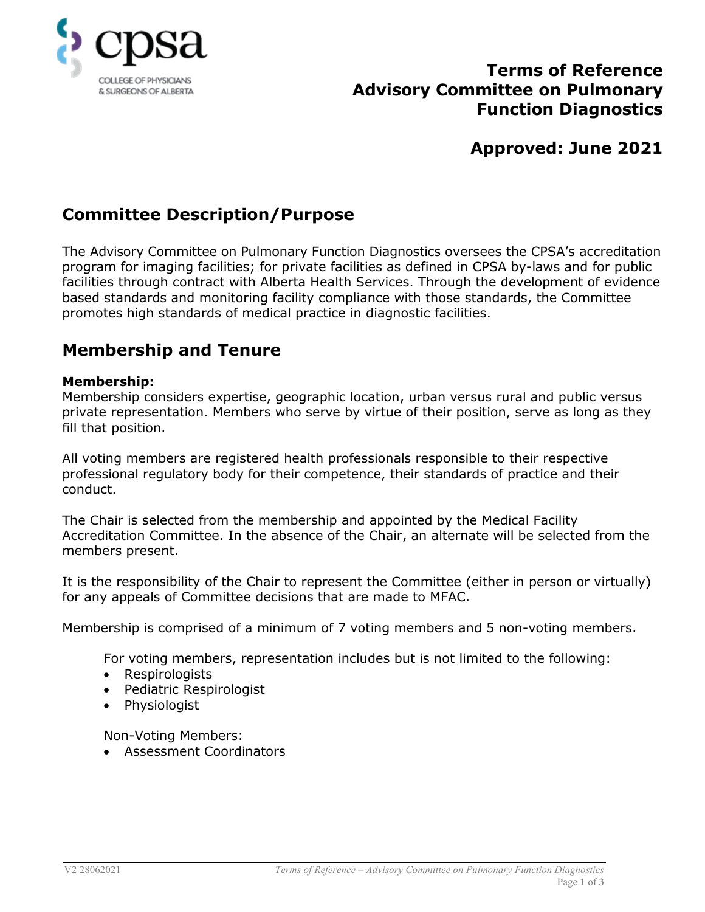

# **Terms of Reference Advisory Committee on Pulmonary Function Diagnostics**

# **Approved: June 2021**

# **Committee Description/Purpose**

The Advisory Committee on Pulmonary Function Diagnostics oversees the CPSA's accreditation program for imaging facilities; for private facilities as defined in CPSA by-laws and for public facilities through contract with Alberta Health Services. Through the development of evidence based standards and monitoring facility compliance with those standards, the Committee promotes high standards of medical practice in diagnostic facilities.

## **Membership and Tenure**

### **Membership:**

Membership considers expertise, geographic location, urban versus rural and public versus private representation. Members who serve by virtue of their position, serve as long as they fill that position.

All voting members are registered health professionals responsible to their respective professional regulatory body for their competence, their standards of practice and their conduct.

The Chair is selected from the membership and appointed by the Medical Facility Accreditation Committee. In the absence of the Chair, an alternate will be selected from the members present.

It is the responsibility of the Chair to represent the Committee (either in person or virtually) for any appeals of Committee decisions that are made to MFAC.

Membership is comprised of a minimum of 7 voting members and 5 non-voting members.

For voting members, representation includes but is not limited to the following:

- Respirologists
- Pediatric Respirologist
- Physiologist

Non-Voting Members:

• Assessment Coordinators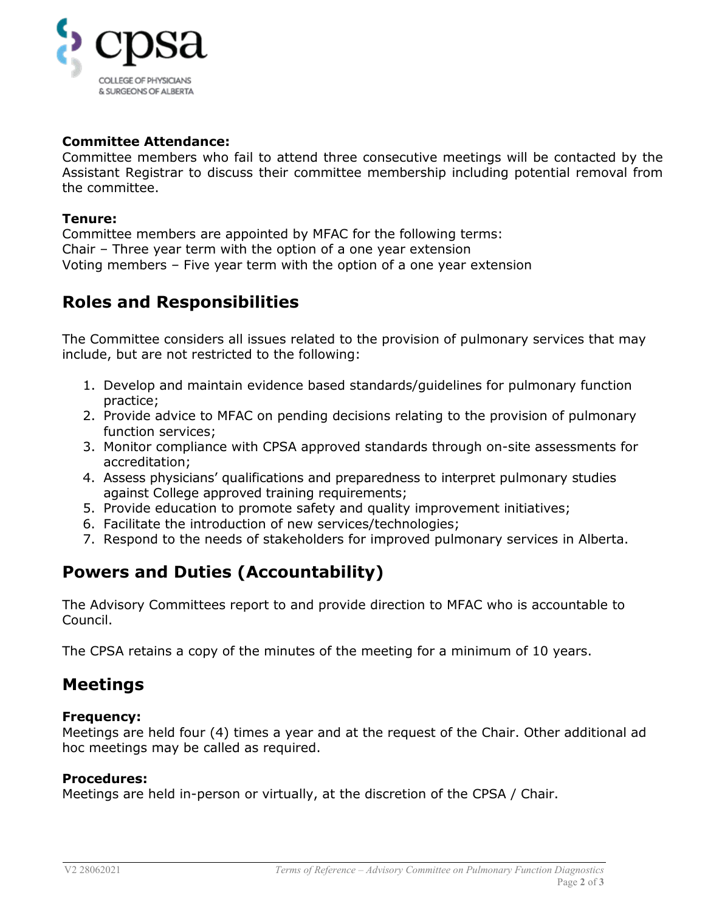

### **Committee Attendance:**

Committee members who fail to attend three consecutive meetings will be contacted by the Assistant Registrar to discuss their committee membership including potential removal from the committee.

#### **Tenure:**

Committee members are appointed by MFAC for the following terms: Chair – Three year term with the option of a one year extension Voting members – Five year term with the option of a one year extension

## **Roles and Responsibilities**

The Committee considers all issues related to the provision of pulmonary services that may include, but are not restricted to the following:

- 1. Develop and maintain evidence based standards/guidelines for pulmonary function practice;
- 2. Provide advice to MFAC on pending decisions relating to the provision of pulmonary function services;
- 3. Monitor compliance with CPSA approved standards through on-site assessments for accreditation;
- 4. Assess physicians' qualifications and preparedness to interpret pulmonary studies against College approved training requirements;
- 5. Provide education to promote safety and quality improvement initiatives;
- 6. Facilitate the introduction of new services/technologies;
- 7. Respond to the needs of stakeholders for improved pulmonary services in Alberta.

# **Powers and Duties (Accountability)**

The Advisory Committees report to and provide direction to MFAC who is accountable to Council.

The CPSA retains a copy of the minutes of the meeting for a minimum of 10 years.

### **Meetings**

#### **Frequency:**

Meetings are held four (4) times a year and at the request of the Chair. Other additional ad hoc meetings may be called as required.

#### **Procedures:**

Meetings are held in-person or virtually, at the discretion of the CPSA / Chair.